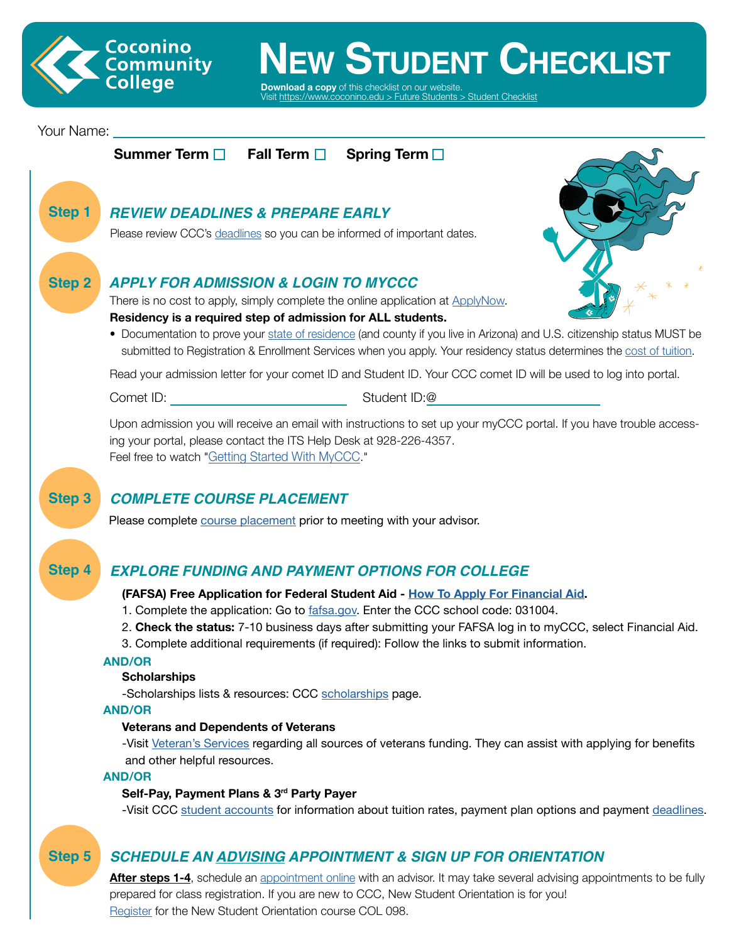

# **LEW STUDENT CHECKLIST**

**Download a copy** of this checklist on or Visit [https://www.coconino.edu > Future Students](https://www.coconino.edu/student-checklist-2022) > Student Checklist

## Your Name:



## *SCHEDULE AN [ADVISING](https://www.coconino.edu/advising) APPOINTMENT & SIGN UP FOR ORIENTATION*

**After steps 1-4**, schedule an [appointment](https://www.coconino.edu/advising) online with an advisor. It may take several advising appointments to be fully prepared for class registration. If you are new to CCC, New Student Orientation is for you! R[egister](https://www.coconino.edu/orientation) for the New Student Orientation course COL 098.